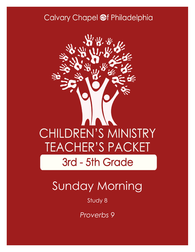### Calvary Chapel @f Philadelphia



# Sunday Morning

### Study 8

*Proverbs 9*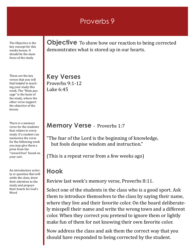### Proverbs 9

The Objective is the key concept for this weeks lesson. It should be the main focus of the study

These are the key verses that you will find helpful in teaching your study this week. The "Main passage" is the basis of the study, where the other verse support the objective of the lesson.

There is a memory verse for the students that relates to every study. If a student can memorize the verse for the following week you may give them a prize from the "reward box" found on your cart.

An introductory activity or question that will settle the class, draw their attention to the study and prepare their hearts for God's Word

**Objective** To show how our reaction to being corrected demonstrates what is stored up in our hearts.

**Key Verses** Proverbs 9:1-12 Luke 6:45

#### **Memory Verse** - Proverbs 1:7

"The fear of the Lord is the beginning of knowledge, but fools despise wisdom and instruction."

(This is a repeat verse from a few weeks ago)

### **Hook**

Review last week's memory verse, Proverbs 8:11.

Select one of the students in the class who is a good sport. Ask them to introduce themselves to the class by saying their name, where they live and their favorite color. On the board deliberately misspell their name and write the wrong town and a different color. When they correct you pretend to ignore them or lightly make fun of them for not knowing their own favorite color.

Now address the class and ask them the correct way that you should have responded to being corrected by the student.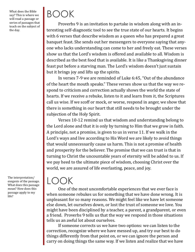What does the Bible say? This is where we will read a passage or series of passages that teach on the subject of the day.

# BOOK

Proverbs 9 is an invitation to partake in wisdom along with an interesting self-diagnostic tool to see the true state of our hearts. It begins with 6 verses that describe wisdom as a queen who has prepared a great banquet feast. She sends out her messengers to everyone saying that anyone who lacks understanding can come to her and freely eat. These verses show us that the Lord's wisdom is offered and available to all. Wisdom is described as the best food that is available. It is like a Thanksgiving dinner feast put before a starving man. The Lord's wisdom doesn't just sustain but it brings joy and lifts up the spirits.

In verses 7-9 we are reminded of Luke 6:45, "Out of the abundance of the heart the mouth speaks." These verses show us that the way we respond to criticism and correction actually shows the world the state of hearts. If we receive a rebuke, listen to it and learn from it, the Scriptures call us wise. If we scoff or mock, or worse, respond in anger, we show that there is something in our heart that still needs to be brought under the subjection of the Holy Spirit.

Verses 10-12 remind us that wisdom and understanding belong to the Lord alone and that it is only by turning to Him that we grow in faith. A principle, not a promise, is given to us in verse 11. If we walk in the Lord's ways and live according to His Word we are likely to avoid things that would unnecessarily cause us harm. This is not a promise of health and prosperity for the believer. The promise that we can trust is that in turning to Christ the uncountable years of eternity will be added to us. If we pay heed to the ultimate piece of wisdom, choosing Christ over the world, we are assured of life everlasting, peace, and joy.

The interpretation/ exegesis of the passage. What does this passage mean? How does this passage apply to my life?

## $\vert$  ( )( )K

One of the most uncomfortable experiences that we ever face is when someone rebukes us for something that we have done wrong. It is unpleasant for so many reasons. We might feel like we have let someone else down, let ourselves down, or lost the trust of someone we love. You might have been disciplined by a teacher, a parent, a grandparent, or even a friend. Proverbs 9 tells us that the way we respond in those situations tells us an awful lot about ourselves.

If someone corrects us we have two options: we can listen to the correction, recognize where we have messed up, and try our best to do things differently from that point on, or we can ignore the person and carry on doing things the same way. If we listen and realize that we have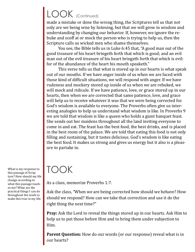# LOOK (Continued)

made a mistake or done the wrong thing, the Scriptures tell us that not only are we being wise by listening, but that we will grow in wisdom and understanding by changing our behavior. If, however, we ignore the rebuke and scoff at or mock the person who is trying to help us, then the Scripture calls us wicked men who shame themselves.

You see, the Bible tells us in Luke 6:45 that, "A good man out of the good treasure of his heart bringeth forth that which is good; and an evil man out of the evil treasure of his heart bringeth forth that which is evil: for of the abundance of the heart his mouth speaketh."

This verse tells us that what is stored up in our hearts is what speak out of our mouths. If we have anger inside of us when we are faced with those kind of difficult situations, we will respond with anger. If we have rudeness and mockery stored up inside of us when we are rebuked, we will mock and ridicule. If we have patience, love, or grace stored up in our hearts, then when we are corrected that same patience, love, and grace will help us to receive whatever it was that we were being corrected for. God's wisdom is available to everyone. The Proverbs often give us interesting analogies to help us understand what wisdom is like. In Proverbs 9 we are told that wisdom is like a queen who holds a giant banquet feast. She sends out her maidens throughout all the land inviting everyone to come in and eat. The feast has the best food, the best drinks, and is placed in the best room of the palace. We are told that eating this food is not only filling and sustaining, but it tastes delicious. God's wisdom is like eating the best food. It makes us strong and gives us energy but it also is a pleasure to partake in.

## TOOK

As a class, memorize Proverbs 1:7.

Ask the class, "When we are being corrected how should we behave? How should we respond? How can we take that correction and use it do the right thing the next time?"

**Pray:** Ask the Lord to reveal the things stored up in our hearts. Ask Him to help us to put those before Him and to bring them under subjection to Him.

**Parent Question:** How do our words (or our response) reveal what is in our hearts?

What is my response to this passage of Scripture? How should my life change according to what this passage teaches me? What are the practical things I can do throughout the week to make this true in my life.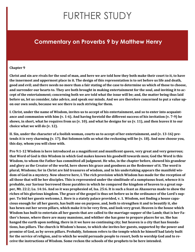# FURTHER STUDY

### **Commentary on Proverbs 9 by Matthew Henry**

#### **Chapter 9**

**Christ and sin are rivals for the soul of man, and here we are told how they both make their court to it, to have the innermost and uppermost place in it. The design of this representation is to set before us life and death, good and evil; and there needs no more than a fair stating of the case to determine us which of those to choose, and surrender our hearts to. They are both brought in making entertainment for the soul, and inviting it to accept of the entertainment; concerning both we are told what the issue will be; and, the matter being thus laid before us, let us consider, take advice, and speak our minds. And we are therefore concerned to put a value upon our own souls, because we see there is such striving for them.**

**I. Christ, under the name of Wisdom, invites us to accept of his entertainment, and so to enter into acquaintance and communion with him (v. 1-6). And having foretold the different success of his invitation (v. 7-9) he shows, in short, what he requires from us (v. 10). and what he designs for us (v. 11), and then leaves it to our choice what we will do (v. 12).**

**II. Sin, under the character of a foolish woman, courts us to accept of her entertainment, and (v. 13-16) pretends it is very charming (v. 17). But Solomon tells us what the reckoning will be (v. 18). And now choose you, this day, whom you will close with.**

**Pro 9:1-12 Wisdom is here introduced as a magnificent and munificent queen, very great and very generous; that Word of God is this Wisdom in which God makes known his goodwill towards men; God the Word is this Wisdom, to whom the Father has committed all judgment. He who, in the chapter before, showed his grandeur and glory as the Creator of the world, here shows his grace and goodness as the Redeemer of it. The word is plural, Wisdoms; for in Christ are hid treasures of wisdom, and in his undertaking appears the manifold wisdom of God in a mystery. Now observe here, I. The rich provision which Wisdom has made for the reception of all those that will be her disciples. This is represented under the similitude of a sumptuous feast, whence it is probable, our Saviour borrowed those parables in which he compared the kingdom of heaven to a great supper, Mt. 22:2; Lu. 14:16. And so it was prophesied of, Isa. 25:6. It is such a feast as Ahasuerus made to show the riches of his glorious kingdom. The grace of the gospel is thus set before us in the ordinance of the Lord's supper. To bid her guests welcome,1. Here is a stately palace provided, v. 1. Wisdom, not finding a house capacious enough for all her guests, has built one on purpose, and, both to strengthen it and to beautify it, she has hewn out her seven pillars, which make it to be very firm, and look very great. Heaven is the house which Wisdom has built to entertain all her guests that are called to the marriage-supper of the Lamb; that is her Father's house, where there are many mansions, and whither she has gone to prepare places for us. She has hanged the earth upon nothing, there in it we have no continuing city; but heaven is a city that has foundations, has pillars. The church is Wisdom's house, to which she invites her guests, supported by the power and promise of God, as by seven pillars. Probably, Solomon refers to the temple which he himself had lately built for the service of religion, and to which he would persuade people to resort, both to worship God and to receive the instructions of Wisdom. Some reckon the schools of the prophets to be here intended.**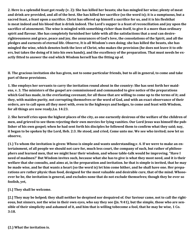**2. Here is a splendid feast got ready (v. 2): She has killed her beasts; she has mingled her wine; plenty of meat and drink are provided, and all of the best. She has killed her sacrifice (so the word is); it is a sumptuous, but a sacred feast, a feast upon a sacrifice. Christ has offered up himself a sacrifice for us, and it is his fleshthat is meat indeed and his blood that is drink indeed. The Lord's supper is a feast of reconciliation and joy upon the sacrifice of atonement. The wine is mingled with something richer than itself, to give it a more than ordinary spirit and flavour. She has completely furnished her table with all the satisfactions that a soul can desirerighteousness and grace, peace and joy, the assurances of God's love, the consolations of the Spirit, and all the pledges and earnests of eternal life. Observe, It is all Wisdom's own doing; she has killed the beasts, she has mingled the wine, which denotes both the love of Christ, who makes the provision (he does not leave it to others, but takes the doing of it into his own hands), and the excellency of the preparation. That must needs be exactly fitted to answer the end which Wisdom herself has the fitting up of.**

**II. The gracious invitation she has given, not to some particular friends, but to all in general, to come and take part of these provisions.**

**1. She employs her servants to carry the invitation round about in the country: She has sent forth her maidens, v. 3. The ministers of the gospel are commissioned and commanded to give notice of the preparations which God has made, in the everlasting covenant, for all those that are willing to come up to the terms of it; and they, with maiden purity, not corrupting themselves or the word of God, and with an exact observance of their orders, are to call upon all they meet with, even in the highways and hedges, to come and feast with Wisdom, for all things are now ready,Lu. 14:23.**

**2. She herself cries upon the highest places of the city, as one earnestly desirous of the welfare of the children of men, and grieved to see them rejecting their own mercies for lying vanities. Our Lord Jesus was himself the publisher of his own gospel; when he had sent forth his disciples he followed them to confirm what they said; nay, it began to be spoken by the Lord, Heb. 2:3. He stood, and cried, Come unto me. We see who invited; now let us observe,**

**(1.) To whom the invitation is given: Whoso is simple and wants understanding,v. 4. If we were to make an entertainment, of all people we should not care for, much less court, the company of such, but rather of philosophers and learned men, that we might hear their wisdom, and whose table-talk would be improving. "Have I need of madmen?' But Wisdom invites such, because what she has to give is what they most need, and it is their welfare that she consults, and aims at, in the preparation and invitation. he that is simple is invited, that he may be made wise, and he that wants a heart (so the word is) let him come hither, and he shall have one. Her preparations are rather physic than food, designed for the most valuable and desirable cure, that of the mind. Whosoever he be, the invitation is general, and excludes none that do not exclude themselves; though they be ever so foolish, yet,**

**[1.] They shall be welcome.**

**[2.] They may be helped; they shall neither be despised nor despaired of. Our Saviour came, not to call the righteous, but sinners, not the wise in their own eyes, who say they see (Jn. 9:41), but the simple, those who are sensible of their simplicity and ashamed of it, and him that is willing tobecome a fool, that he may be wise, 1 Co. 3:18.**

**(2.) What the invitation is.**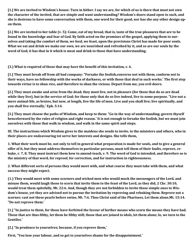**[1.] We are invited to Wisdom's house: Turn in hither. I say we are, for which of us is there that must not own the character of the invited, that are simple and want understanding? Wisdom's doors stand open to such, and she is desirous to have some conversation with them, one word for their good, nor has she any other design upon them.**

**[2.] We are invited to her table (v. 5): Come, eat of my bread, that is, taste of the true pleasures that are to be found in the knowledge and fear of God. By faith acted on the promises of the gospel, applying them to ourselves and taking the comfort of them, we feed, we feast, upon the provisions Christ has made for poor souls. What we eat and drink we make our own, we are nourished and refreshed by it, and so are our souls by the word of God; it has that in it which is meat and drink to those that have understanding.**

**(3.) What is required of those that may have the benefit of this invitation, v. 6.**

**[1.] They must break off from all bad company: "Forsake the foolish,converse not with them, conform not to their ways, have no fellowship with the works of darkness, or with those that deal in such works.' The first step towards virtue is to shun vice, and therefore to shun the vicious. Depart from me, you evil-doers.**

**[2.] They must awake and arise from the dead; they must live, not in pleasure (for those that do so are dead while they live), but in the service of God; for those only that do so live indeed, live to some purpose. "Live not a mere animal-life, as brutes, but now, at length, live the life of men. Live and you shall live; live spiritually, and you shall live eternally,' Eph. 5:14.**

**[3.] They must choose the paths of Wisdom, and keep to them: "Go in the way of understanding; govern thyself henceforward by the rules of religion and right reason.' It is not enough to forsake the foolish, but we must join ourselves with those that walk in wisdom, and walk in the same spirit and steps.**

**III. The instructions which Wisdom gives to the maidens she sends to invite, to the ministers and others, who in their places are endeavouring tot serve her interests and designs. She tells them,**

**1. What their work must be, not only to tell in general what preparation is made for souls, and to give a general offer of it, but they must address themselves to particular persons, must tell them of their faults, reprove, rebuke, v. 7, 8. They must instruct them how to amend-teach, v. 9. The word of God is intended, and therefore so is the ministry of that word, for reproof, for correction, and for instruction in righteousness.**

**2. What different sorts of persons they would meet with, and what course they must take with them, and what success they might expect.**

**(1.) They would meet with some scorners and wicked men who would mock the messengers of the Lord, and misuse them, would laugh those to scorn that invite them to the feast of the Lord, as they did, 2 Chr. 30:10, would treat them spitefully, Mt. 22:6. And, though they are not forbidden to invite those simple ones to Wisdom's house, yet they are advised not to pursue the invitation by reproving and rebuking them. Reprove not a scorner; cast not these pearls before swine, Mt. 7:6. Thus Christ said of the Pharisees, Let them alone,Mt. 15:14. "Do not reprove them.'**

**[1.] "In justice to them, for those have forfeited the favour of further means who scorn the means they have had. Those that are thus filthy, let them be filthy still; those that are joined to idols, let them alone; lo, we turn to the Gentiles.'**

**[2.] "In prudence to yourselves; because, if you reprove them,'**

**First, "You lose your labour, and so get to yourselves shame for the disappointment.'**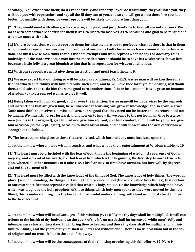**Secondly, "You exasperate them; do it ever so wisely and tenderly, if you do it faithfully, they will hate you, they will load you with reproaches, and say all the ill they can of you, and so you will get a blot; therefore you had better not meddle with them, for your reproofs will be likely to do more hurt than good.'**

**(2.) They would meet with others, who are wise, and good, and just; thanks be to God, all are not scorners. We meet with some who are so wise for themselves, to just to themselves, as to be willing and glad to be taught; and when we meet with such,**

**[1.] If there be occasion, we must reprove them; for wise men are not so perfectly wise but there is that in them which needs a reproof; and we must not connive at any man's faults because we have a veneration for his wisdom, nor must a wise man think that his wisdom exempts him from reproof when he says or does any thing foolishly; but the more wisdom a man has the more desirous he should be to have his weaknesses shown him, because a little folly is a great blemish to him that is in reputation for wisdom and honour.**

**[2.] With our reproofs we must give them instruction, and must teach them, v. 9.**

**[3.] We may expect that our doing so will be taken as a kindness, Ps. 141:5. A wise man will reckon those his friends who deal faithfully with him: "Rebuke such a one, and he will love thee for thy plain dealing, will thank thee, and desire thee to do him the same good turn another time, if there be occasion.' It is as great an instance of wisdom to take a reproof well as to give it well,**

**[4.] Being taken well, it will do good, and answer the intention. A wise manwill be made wiser by the reproofs and instructions that are given him; he willincrease in learning, will grow in knowledge, and so grow in grace. None must think themselves too wise to learn, nor so good that they need not be better and therefore need not be taught. We must still press forward, and follow on to know till we come to the perfect man. Give to a wise man (so it is in the original), give him advice, give him reproof, give him comfort, and he will be yet wiser; give him occasion (so the Septuagint), occasion to show his wisdom, and he will show it, and the acts of wisdom will strengthen the habits.**

**IV. The instructions she gives to those that are invited, which her maidens must inculcate upon them.**

**1. Let them know wherein true wisdom consists, and what will be their entertainment at Wisdom's table, v. 10**

**(1.) The heart must be principled with the fear of God; that is the beginning of wisdom. A reverence of God's majesty, and a dread of his wrath, are that fear of him which is the beginning, the first step towards true religion, whence all other instances of it take rise. This fear may, at first, have torment, but love will, by degrees, cast out the torment of it.**

**(2.) The head must be filled with the knowledge of the things of God. The knowledge of holy things (the word is plural) is understanding, the things pertaining to the service of God (those are called holy things), that pertain to our own sanctification; reproof is called that which is holy, Mt. 7:6. Or the knowledge which holy men have, which was taught by the holy prophets, of those things which holy men spoke as they were moved by the holy Ghost, this is understanding; it is the best and most useful understanding, will stand us in most stead and turn to the best account.**

**2. Let them know what will be advantages of this wisdom (v. 11): "By me thy days shall be multiplied. It will contribute to the health of thy body, and so the years of thy life on earth shall be increased, while men's folly and intemperance shorten their days. It will bring thee to heaven, and there thy days shall be multiplied in infinitum-to infinity, and the years of thy life shall be increased without end.' There is no true wisdom but in the say of religion and no true life but in the end of that way.**

**3. Let them know what will be the consequence of their choosing or refusing this fair offer, v. 12. Here is,**